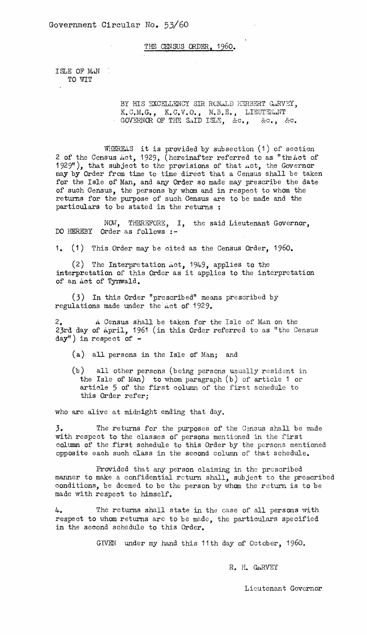THE CENSUS ORDER, 1960.

ISLE OF MAN TO WIT

> BY HIS EXCELLENCY SIR RONALD HERBERT GARVEY, K.C.M.G., K.C.V.O., M.B.E., LIEUTENANT<br>GOVERNOR OF THE SAID ISLE, &c., &c., &c.

WHEREAS it is provided by subsection (1) of section 2 of the Census Act, 1929, (hereinafter referred to as "the Act of 1929"), that subject to the provisions of that  $\text{act}$ , the Governor may by Order from time to time direct that a Census shall be taken for the Isle of Man, and any Order so made may prescribe the date of such Census, the persons by whom and in respect to whom the returns for the purpose of such Census are to be made and the particulars to be stated in the returns :

NOV, THEREFORE, I, the said Lieutenant Governor, DO HEREBY Order as follows :-

1. (1) This Order may be cited as the Census Order, 1960.

(2) The Interpretation Act, 1949, applies to the interpretation of this Order as it applies to the interpretation of an Act of Tynwald.

(3) In this Order "prescribed" means prescribed by regulations made under the Act of 1929.

2. A Census shall be taken for the isle of Man on the 23rd day of April, 1961 (in this Order referred to as "the Census day") in respect of -

(a) all persons in the Isle of Man; and

(b) all other persons (being persons usually resident in the Isle of Man) to whom paragraph (b) of article 1 or article 5 of the first column of the first schedule to this Order refer;

who are alive at midnight ending that day.

3. The returns for the purposes of the Census shall be made with respect to the classes of persons mentioned in the first column of the first schedule to this Order by the persons mentioned opposite each such class in the second column of that schedule.

Provided that any person claiming in the prescribed manner to make a confidential return shall, subject to the prescribed conditions, be deemed to be the person by whom the return is to be made with respect to himself.

4. The returns shall state in the case of all persons with respect to whom returns are to be made, the particulars specified in the second schedule to this Order.

GIVEN under my hand this 11th day of October, 1960.

R. H. GARVEY

Lieutenant Governor